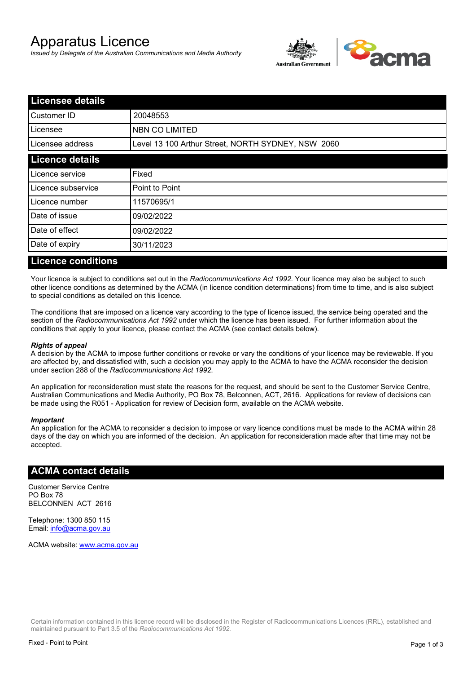# Apparatus Licence

*Issued by Delegate of the Australian Communications and Media Authority*



| <b>Licensee details</b> |                                                    |  |
|-------------------------|----------------------------------------------------|--|
| Customer ID             | 20048553                                           |  |
| ILicensee               | NBN CO LIMITED                                     |  |
| Licensee address        | Level 13 100 Arthur Street, NORTH SYDNEY, NSW 2060 |  |
| <b>Licence details</b>  |                                                    |  |
| Licence service         | Fixed                                              |  |
| Licence subservice      | Point to Point                                     |  |
| Licence number          | 11570695/1                                         |  |
| Date of issue           | 09/02/2022                                         |  |
| Date of effect          | 09/02/2022                                         |  |
| Date of expiry          | 30/11/2023                                         |  |
|                         |                                                    |  |

#### **Licence conditions**

Your licence is subject to conditions set out in the *Radiocommunications Act 1992*. Your licence may also be subject to such other licence conditions as determined by the ACMA (in licence condition determinations) from time to time, and is also subject to special conditions as detailed on this licence.

The conditions that are imposed on a licence vary according to the type of licence issued, the service being operated and the section of the *Radiocommunications Act 1992* under which the licence has been issued. For further information about the conditions that apply to your licence, please contact the ACMA (see contact details below).

#### *Rights of appeal*

A decision by the ACMA to impose further conditions or revoke or vary the conditions of your licence may be reviewable. If you are affected by, and dissatisfied with, such a decision you may apply to the ACMA to have the ACMA reconsider the decision under section 288 of the *Radiocommunications Act 1992*.

An application for reconsideration must state the reasons for the request, and should be sent to the Customer Service Centre, Australian Communications and Media Authority, PO Box 78, Belconnen, ACT, 2616. Applications for review of decisions can be made using the R051 - Application for review of Decision form, available on the ACMA website.

#### *Important*

An application for the ACMA to reconsider a decision to impose or vary licence conditions must be made to the ACMA within 28 days of the day on which you are informed of the decision. An application for reconsideration made after that time may not be accepted.

#### **ACMA contact details**

Customer Service Centre PO Box 78 BELCONNEN ACT 2616

Telephone: 1300 850 115 Email: info@acma.gov.au

ACMA website: www.acma.gov.au

Certain information contained in this licence record will be disclosed in the Register of Radiocommunications Licences (RRL), established and maintained pursuant to Part 3.5 of the *Radiocommunications Act 1992.*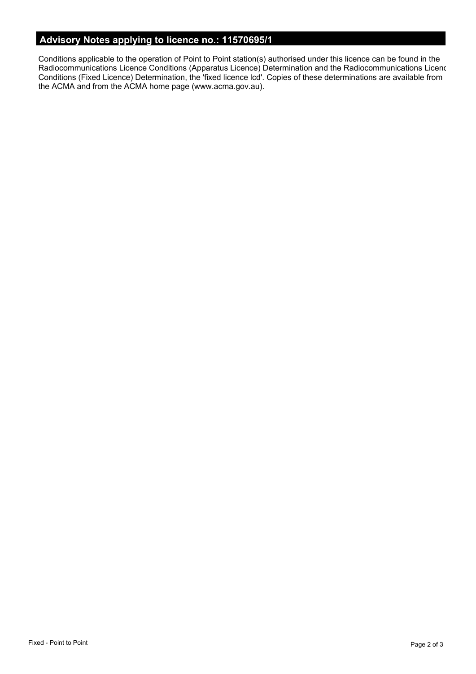# **Advisory Notes applying to licence no.: 11570695/1**

Conditions applicable to the operation of Point to Point station(s) authorised under this licence can be found in the Radiocommunications Licence Conditions (Apparatus Licence) Determination and the Radiocommunications Licence Conditions (Fixed Licence) Determination, the 'fixed licence lcd'. Copies of these determinations are available from the ACMA and from the ACMA home page (www.acma.gov.au).